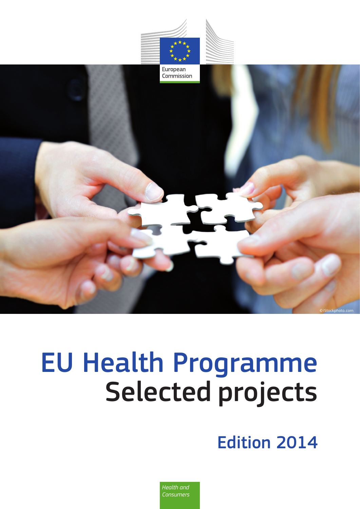

# EU Health Programme Selected projects

Edition 2014

*Health and Consumers*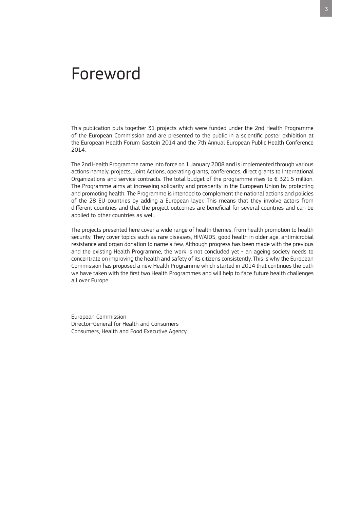## Foreword

This publication puts together 31 projects which were funded under the 2nd Health Programme of the European Commission and are presented to the public in a scientific poster exhibition at the European Health Forum Gastein 2014 and the 7th Annual European Public Health Conference 2014.

The 2nd Health Programme came into force on 1 January 2008 and is implemented through various actions namely, projects, Joint Actions, operating grants, conferences, direct grants to International Organizations and service contracts. The total budget of the programme rises to  $\epsilon$  321.5 million. The Programme aims at increasing solidarity and prosperity in the European Union by protecting and promoting health. The Programme is intended to complement the national actions and policies of the 28 EU countries by adding a European layer. This means that they involve actors from different countries and that the project outcomes are beneficial for several countries and can be applied to other countries as well.

The projects presented here cover a wide range of health themes, from health promotion to health security. They cover topics such as rare diseases, HIV/AIDS, good health in older age, antimicrobial resistance and organ donation to name a few. Although progress has been made with the previous and the existing Health Programme, the work is not concluded yet - an ageing society needs to concentrate on improving the health and safety of its citizens consistently. This is why the European Commission has proposed a new Health Programme which started in 2014 that continues the path we have taken with the first two Health Programmes and will help to face future health challenges all over Europe

European Commission Director-General for Health and Consumers Consumers, Health and Food Executive Agency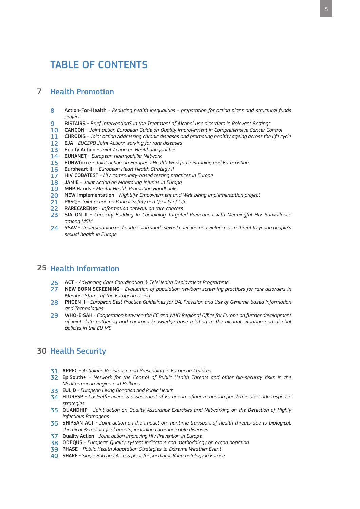## TABLE OF CONTENTS

#### Health Promotion 7

- 8 Action-For-Health - *Reducing health inequalities - preparation for action plans and structural funds project*
- 9 BISTAIRS - *Brief InterventionS in the Treatment of Alcohol use disorders In Relevant Settings*
- 10 CANCON *Joint action European Guide on Quality Improvement in Comprehensive Cancer Control*
- 11 CHRODIS - *Joint action Addressing chronic diseases and promoting healthy ageing across the life cycle*
- 12 EJA - *EUCERD Joint Action: working for rare diseases*
- 13 Equity Action - *Joint Action on Health Inequalities*
- 14 EUHANET - *European Haemophilia Network*
- 15 EUHWforce - *Joint action on European Health Workforce Planning and Forecasting*
- 16 Euroheart II - *European Heart Health Strategy II*
- 17 HIV COBATEST *- HIV community-based testing practices in Europe*
- 18 JAMIE - *Joint Action on Monitoring Injuries in Europe*
- 19 MHP Hands - *Mental Health Promotion Handbooks*
- 20 NEW Implementation *Nightlife Empowerment and Well-being Implementation project*
- 21 PASQ *Joint action on Patient Safety and Quality of Life*
- 22 RARECARENet *Information network on rare cancers*
- 23 SIALON II *Capacity Building In Combining Targeted Prevention with Meaningful HIV Surveillance among MSM*
- 24 YSAV *Understanding and addressing youth sexual coercion and violence as a threat to young people's sexual health in Europe*

## 25 Health Information

- 26 ACT *Advancing Care Coordination & TeleHealth Deployment Programme*
- 27 NEW BORN SCREENING - *Evaluation of population newborn screening practices for rare disorders in Member States of the European Union*
- 28 PHGEN II *European Best Practice Guidelines for QA, Provision and Use of Genome-based Information and Technologies*
- 29 WHO-EISAH *Cooperation between the EC and WHO Regional Office for Europe on further development of joint data gathering and common knowledge base relating to the alcohol situation and alcohol policies in the EU MS*

## 30 Health Security

- 31 ARPEC *Antibiotic Resistance and Prescribing in European Children*
- 32 EpiSouth+ *Network for the Control of Public Health Threats and other bio-security risks in the Mediterranean Region and Balkans*
- 33 EULID *European Living Donation and Public Health*
- 34 FLURESP *Cost-effectiveness assessment of European influenza human pandemic alert adn response strategies*
- 35 QUANDHIP *Joint action on Quality Assurance Exercises and Networking on the Detection of Highly Infectious Pathogens*
- 36 SHIPSAN ACT - *Joint action on the impact on maritime transport of health threats due to biological, chemical & radiological agents, including communicable diseases*
- 37 Quality Action *Joint action improving HIV Prevention in Europe*
- 38 ODEQUS *European Quality system indicators and methodology on organ donation*
- 39 PHASE *Public Health Adaptation Strategies to Extreme Weather Event*
- 40 SHARE *Single Hub and Access point for paediatric Rheumatology in Europe*